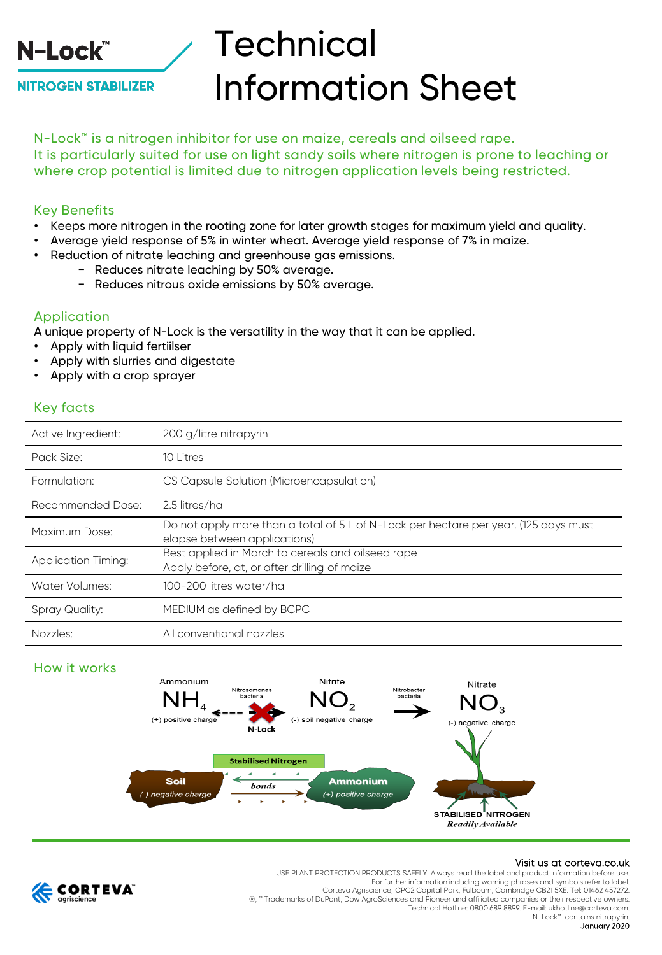

**NITROGEN STABILIZER** 

# **Technical** Information Sheet

N-Lock™ is a nitrogen inhibitor for use on maize, cereals and oilseed rape. It is particularly suited for use on light sandy soils where nitrogen is prone to leaching or where crop potential is limited due to nitrogen application levels being restricted.

# Key Benefits

- Keeps more nitrogen in the rooting zone for later growth stages for maximum yield and quality.
- Average yield response of 5% in winter wheat. Average yield response of 7% in maize.
- Reduction of nitrate leaching and greenhouse gas emissions.
	- − Reduces nitrate leaching by 50% average.
	- − Reduces nitrous oxide emissions by 50% average.

## Application

A unique property of N-Lock is the versatility in the way that it can be applied.

- Apply with liquid fertiilser
- Apply with slurries and digestate
- Apply with a crop sprayer

# Key facts

| Active Ingredient:         | 200 g/litre nitrapyrin                                                                                               |
|----------------------------|----------------------------------------------------------------------------------------------------------------------|
| Pack Size:                 | 10 Litres                                                                                                            |
| Formulation:               | CS Capsule Solution (Microencapsulation)                                                                             |
| Recommended Dose:          | 2.5 litres/ha                                                                                                        |
| Maximum Dose:              | Do not apply more than a total of 5 L of N-Lock per hectare per year. (125 days must<br>elapse between applications) |
| <b>Application Timing:</b> | Best applied in March to cereals and oilseed rape<br>Apply before, at, or after drilling of maize                    |
| Water Volumes:             | 100-200 litres water/ha                                                                                              |
| <b>Spray Quality:</b>      | MEDIUM as defined by BCPC                                                                                            |
| Nozzles:                   | All conventional nozzles                                                                                             |

# How it works



#### Visit us at corteva.co.uk



USE PLANT PROTECTION PRODUCTS SAFELY. Always read the label and product information before use. For further information including warning phrases and symbols refer to label. Corteva Agriscience, CPC2 Capital Park, Fulbourn, Cambridge CB21 5XE. Tel: 01462 457272. ®, ™ Trademarks of DuPont, Dow AgroSciences and Pioneer and affiliated companies or their respective owners. Technical Hotline: 0800 689 8899. E-mail: ukhotline@corteva.com. N-Lock<sup>™</sup> contains nitrapyri